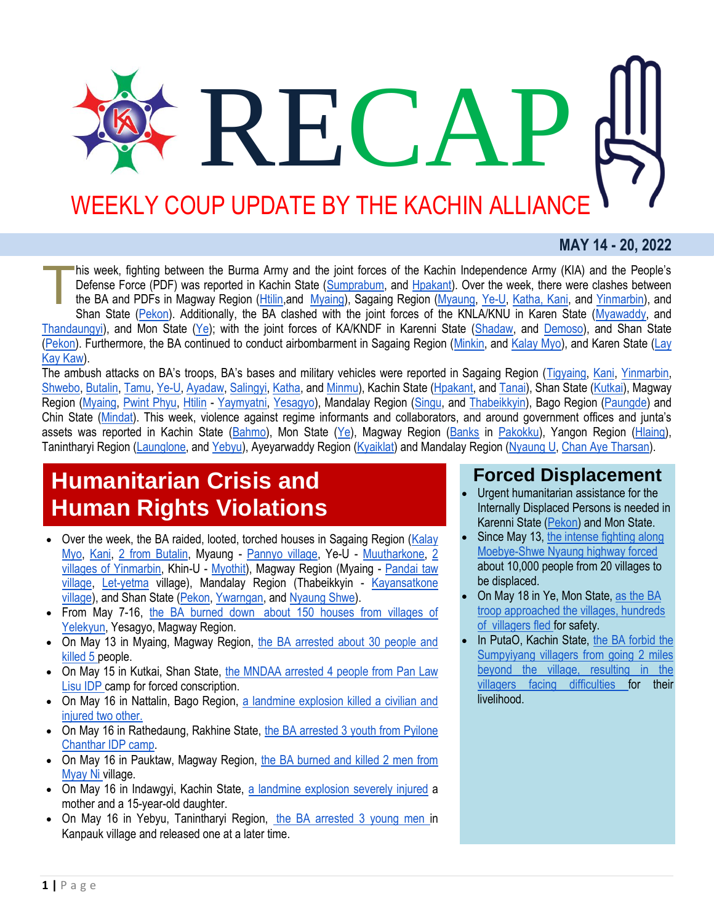# **RECAP** WEEKLY COUP UPDATE BY THE KACHIN ALLIANCE

### **MAY 14 - 20, 2022**

his week, fighting between the Burma Army and the joint forces of the Kachin Independence Army (KIA) and the People's Defense Force (PDF) was reported in Kachin State [\(Sumprabum,](https://www.myitkyinanewsjournal.com/%e1%80%86%e1%80%bd%e1%80%99%e1%80%ba%e1%80%95%e1%80%9b%e1%80%ac%e1%80%98%e1%80%bd%e1%80%99%e1%80%ba%e1%80%99%e1%80%bc%e1%80%ad%e1%80%af%e1%80%b7%e1%80%94%e1%80%9a%e1%80%ba%e1%81%8a-%e1%80%80%e1%80%9d/) and [Hpakant\)](https://www.facebook.com/The74Media/posts/562146505304875?__cft__%5b0%5d=AZU77Al6-g7ZB1qQjHiIhC2rwknBGpSGiGwzO_teuf8V4IMV6NML1mfopee1JDtjIeoM5lP9O_rtGE00q-7gG2d9AN9r0KbTrgF2I_JnbkKc8cFhZUTBc33g4akSjUfqZiQ9H5GX-VLUm-3tGz6usgps&__tn__=%2CO%2CP-R). Over the week, there were clashes between the BA and PDFs in Magway Region (*Htilin,and Myaing*), Sagaing Region (*Myaung, [Ye-U,](http://burmese.dvb.no/archives/533793) [Katha, Kani,](http://burmese.dvb.no/archives/533677) and Yinmarbin*), and Shan State [\(Pekon\)](http://burmese.dvb.no/archives/533539). Additionally, the BA clashed with the joint forces of the KNLA/KNU in Karen State [\(Myawaddy,](https://www.irrawaddy.com/news/burma/deputy-commander-killed-as-knla-seize-strategic-army-base-in-southeast-myanmar.html) and [Thandaungyi\)](http://burmese.dvb.no/archives/533259), and Mon State [\(Ye\)](http://burmese.dvb.no/archives/533587); with the joint forces of KA/KNDF in Karenni State [\(Shadaw,](http://burmese.dvb.no/archives/534157) and [Demoso\)](https://www.facebook.com/shwepheemyaynews/posts/1198500147632781?__cft__%5b0%5d=AZWBoCKPAQP4P3WdiFnPHUYPpVmCySxgzx5c6psUjb-9I42GXWN_KlWbyHJUCdC-M_u_kkBJVB44WqeM2aqmOOH_bIdI7Mg3Jk9g8U8fJc0hxt8WPOxEdmXykYnswowgr5SJeHF8aSn3FhfMNOFuulKS&__tn__=%2CO%2CP-R), and Shan State [\(Pekon\)](http://burmese.dvb.no/archives/533951). Furthermore, the BA continued to conduct airbombarment in Sagaing Region [\(Minkin,](http://burmese.dvb.no/archives/534481) and [Kalay Myo\)](http://burmese.dvb.no/archives/533303), and Karen State [\(Lay](http://burmese.dvb.no/archives/534232)  [Kay Kaw\)](http://burmese.dvb.no/archives/534232). T

The ambush attacks on BA's troops, BA's bases and military vehicles were reported in Sagaing Region ([Tigyaing,](https://burmese.kachinnews.com/2022/05/18/may-18-z-1/) [Kani,](http://burmese.dvb.no/archives/533922) [Yinmarbin,](http://burmese.dvb.no/archives/533944) [Shwebo,](http://burmese.dvb.no/archives/533963) [Butalin,](http://burmese.dvb.no/archives/533614) [Tamu,](http://burmese.dvb.no/archives/533483) [Ye-U,](http://burmese.dvb.no/archives/533399) [Ayadaw,](https://www.facebook.com/The74Media/posts/561360655383460?__cft__%5b0%5d=AZWSXDYZeZkIj25ihgc_mTfQgjmrQu-nYOwpskqO5JVH5n_nxID8HbN4l4UpCh1XHGikTAslVNq5Y8QEXJpKcfYIzkQ9vLGKOtisTn1Z8yq2XkabpAJyomUVQ0lLgDhPd-Uhza_jRMhR0IRPbOHPv-mg&__tn__=%2CO%2CP-R) [Salingyi,](https://www.facebook.com/The74Media/posts/559413562244836?__cft__%5b0%5d=AZW-t6ZpDabgM1Oxw3bxLIRQ0V_iuZXotf9JyUwsRV8RiOaOXVVA4SvBUbYcKBfjyPUmXTesFI-4f70ETWbRTW2U8V7Q7WQuf1iQc8Z2GUymztnuGf6LlfTZwzwcJRwHJi-efcT4HIP4bl4yts4OguKo&__tn__=%2CO%2CP-R) [Katha,](https://www.facebook.com/The74Media/posts/559190622267130?__cft__%5b0%5d=AZV1L-YZcVcy4vewZBuoEAcUyO4JYngKWY23CYnu9QKNSVkcPEkhkP6jghMOI5DpqJMQ8wu7Be05_GBVbCNqepof5ITFhIkcCbjEdcSy2HQSn-ZKYYv_d7CLHlNQcVH5DIaNUcfsGKR4uLyvjpWP0PU8&__tn__=%2CO%2CP-R) and [Minmu\)](http://burmese.dvb.no/archives/533312), Kachin State [\(Hpakant,](https://burmese.kachinnews.com/2022/05/17/may17-az2/) and [Tanai\)](https://www.myitkyinanewsjournal.com/%e1%80%85%e1%80%85%e1%80%ba%e1%80%80%e1%80%b1%e1%80%ac%e1%80%84%e1%80%ba%e1%80%85%e1%80%ae%e1%81%8f-%e1%80%81%e1%80%bc%e1%80%b1%e1%80%9c%e1%80%bb%e1%80%84%e1%80%ba%e1%80%85%e1%80%85%e1%80%ba%e1%80%80/), Shan State [\(Kutkai\)](https://burmese.kachinnews.com/2022/05/17/may17-bs1/), Magway Region [\(Myaing,](http://burmese.dvb.no/archives/534478) [Pwint Phyu,](http://burmese.dvb.no/archives/534146) [Htilin](http://burmese.dvb.no/archives/533748) - [Yaymyatni,](http://burmese.dvb.no/archives/533510) [Yesagyo\)](http://burmese.dvb.no/archives/533419), Mandalay Region [\(Singu,](http://burmese.dvb.no/archives/534398) and [Thabeikkyin\)](http://burmese.dvb.no/archives/533760), Bago Region [\(Paungde\)](http://burmese.dvb.no/archives/533568) and Chin State [\(Mindat](http://burmese.dvb.no/archives/533533)). This week, violence against regime informants and collaborators, and around government offices and junta's assets was reported in Kachin State [\(Bahmo\)](https://burmese.kachinnews.com/2022/05/19/may-19-z-1/), Mon State [\(Ye\)](http://burmese.dvb.no/archives/533292), Magway Region [\(Banks](http://burmese.dvb.no/archives/533842) in [Pakokku\)](http://burmese.dvb.no/archives/534420), Yangon Region [\(Hlaing\)](http://burmese.dvb.no/archives/534358), Tanintharyi Region [\(Launglone,](http://burmese.dvb.no/archives/533832) and [Yebyu\)](http://burmese.dvb.no/archives/533967), Ayeyarwaddy Region [\(Kyaiklat\)](http://burmese.dvb.no/archives/533390) and Mandalay Region [\(Nyaung U,](http://burmese.dvb.no/archives/534453) [Chan Aye Tharsan\)](http://burmese.dvb.no/archives/533393).

## **Humanitarian Crisis and Human Rights Violations**

- Over the week, the BA raided, looted, torched houses in Sagaing Region (Kalay [Myo,](http://burmese.dvb.no/archives/533912) [Kani,](http://burmese.dvb.no/archives/534139) [2 from Butalin,](http://burmese.dvb.no/archives/534042) Myaung - [Pannyo village,](http://burmese.dvb.no/archives/533958) Ye-U - [Muutharkone,](http://burmese.dvb.no/archives/534369) [2](http://burmese.dvb.no/archives/533438)  [villages of Yinmarbin,](http://burmese.dvb.no/archives/533438) Khin-U - [Myothit\)](http://burmese.dvb.no/archives/533299), Magway Region (Myaing - [Pandai taw](http://burmese.dvb.no/archives/534101)  [village,](http://burmese.dvb.no/archives/534101) [Let-yetma](http://burmese.dvb.no/archives/533348) village), Mandalay Region (Thabeikkyin - Kayansatkone [village\)](http://burmese.dvb.no/archives/533755), and Shan State [\(Pekon,](http://burmese.dvb.no/archives/533701) [Ywarngan,](https://www.facebook.com/shwepheemyaynews/posts/1197948084354654?__cft__%5b0%5d=AZX_BqV_WLp8lLVTLvkRdsXa-4jKJXS4vuCViAdFavzGCLcAt83FN9xImBEqSm1s01EG7vf1xEKGdbrAH5lrv-W7NlQvfD78EYUrcxQW4GAoN078FelOk1E4Of4fiqZrb1lcm-t4PC08eKHJn_jBKau8&__tn__=%2CO%2CP-R) and [Nyaung Shwe\)](https://www.facebook.com/shwepheemyaynews/posts/1197175651098564?__cft__%5b0%5d=AZUbUMLTFhinZqvWnm-xELbhlh7rhwXmBXY-wJnBxsBIVb9OQWgzoH1R1dVnTj-pGlt3rRPUosu2Gb1nvdd8_1qq4i6sA9NsyyDEmVokZUYcJuZ3gT36tsqRE-QrLpDB5WUOMULuZCRolO1nydLKLwBY&__tn__=%2CO%2CP-R).
- From May 7-16, the BA burned down [about 150 houses from villages of](http://burmese.dvb.no/archives/533594)  [Yelekyun,](http://burmese.dvb.no/archives/533594) Yesagyo, Magway Region.
- On May 13 in Myaing, Magway Region, [the BA arrested about 30 people and](http://burmese.dvb.no/archives/533222)  [killed 5 p](http://burmese.dvb.no/archives/533222)eople.
- On May 15 in Kutkai, Shan State, the MNDAA arrested 4 people from Pan Law [Lisu IDP c](https://www.facebook.com/shwepheemyaynews/posts/1196461067836689?__cft__%5b0%5d=AZVTOVqETIIROFH2vO2KL8Ef0MF5TgKcEF9M6A7tAlaAmN5GCETaCklgoGNsVUY4zW9KbnsrZg0UNHMFjrO-V2smhJAUsQTnfcalzTt8HluVRxcf_HaNopUZcsmiDjhIHNEqVF3OQz0li3FomUnvVi5p&__tn__=%2CO%2CP-R)amp for forced conscription.
- On May 16 in Nattalin, Bago Region, [a landmine explosion killed a civilian and](http://burmese.dvb.no/archives/533749)  [injured two other.](http://burmese.dvb.no/archives/533749)
- On May 16 in Rathedaung, Rakhine State, the BA arrested 3 youth from Pyilone [Chanthar IDP camp.](http://burmese.dvb.no/archives/533731)
- On May 16 in Pauktaw, Magway Region, [the BA burned and killed 2 men from](http://burmese.dvb.no/archives/534058)  [Myay Ni v](http://burmese.dvb.no/archives/534058)illage.
- On May 16 in Indawgyi, Kachin State, [a landmine explosion severely injured](https://burmese.kachinnews.com/2022/05/17/may17-az1/) a mother and a 15-year-old daughter.
- On May 16 in Yebyu, Tanintharyi Region, [the BA arrested 3 young men in](http://burmese.dvb.no/archives/533565) Kanpauk village and released one at a later time.

## **Forced Displacement**

- Urgent humanitarian assistance for the Internally Displaced Persons is needed in Karenni State [\(Pekon\)](http://burmese.dvb.no/archives/534304) and Mon State.
- Since May 13, [the intense fighting along](http://burmese.dvb.no/archives/533273)  [Moebye-Shwe Nyaung highway forced](http://burmese.dvb.no/archives/533273)  about 10,000 people from 20 villages to be displaced.
- On May 18 in Ye, Mon State, [as the BA](http://burmese.dvb.no/archives/533941)  [troop approached the villages, hundreds](http://burmese.dvb.no/archives/533941)  of [villagers fled f](http://burmese.dvb.no/archives/533941)or safety.
- In PutaO, Kachin State, [the BA forbid the](http://burmese.dvb.no/archives/533877)  [Sumpyiyang villagers from going 2 miles](http://burmese.dvb.no/archives/533877)  [beyond the village, resulting in the](http://burmese.dvb.no/archives/533877)  [villagers facing difficulties f](http://burmese.dvb.no/archives/533877)or their livelihood.